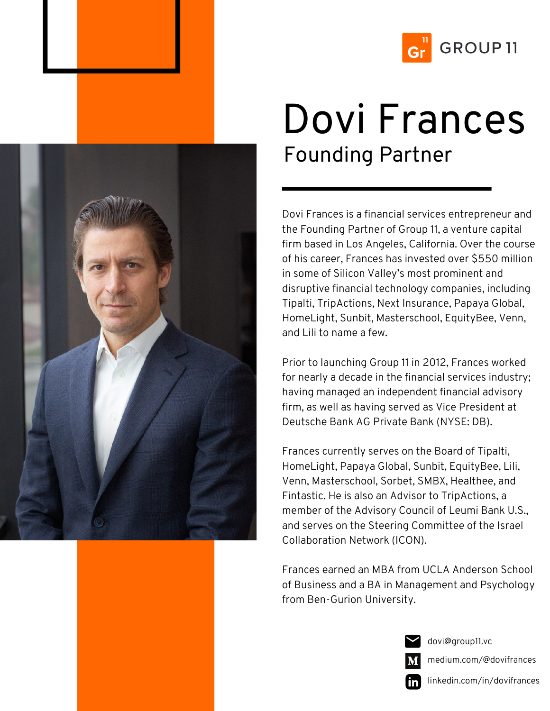



## Dovi Frances Founding Partner

Dovi Frances is a financial services entrepreneur and the Founding Partner of Group 11, a venture capital firm based in Los Angeles, California. Over the course of his career, Frances has invested over \$550 million in some of Silicon Valley's most prominent and disruptive financial technology companies, including Tipalti, TripActions, Next Insurance, Papaya Global, HomeLight, Sunbit, Masterschool, EquityBee, Venn, and Lili to name a few.

Prior to launching Group 11 in 2012, Frances worked for nearly a decade in the financial services industry; having managed an independent financial advisory firm, as well as having served as Vice President at Deutsche Bank AG Private Bank (NYSE: DB).

Frances currently serves on the Board of Tipalti, HomeLight, Papaya Global, Sunbit, EquityBee, Lili, Venn, Masterschool, Sorbet, SMBX, Healthee, and Fintastic. He is also an Advisor to TripActions, a member of the Advisory Council of Leumi Bank U.S., and serves on the Steering Committee of the Israel Collaboration Network (ICON).

Frances earned an MBA from UCLA Anderson School of Business and a BA in Management and Psychology from Ben-Gurion University.



dovi@group11.vc

medium.com/@dovifrances

linkedin.com/in/dovifrances